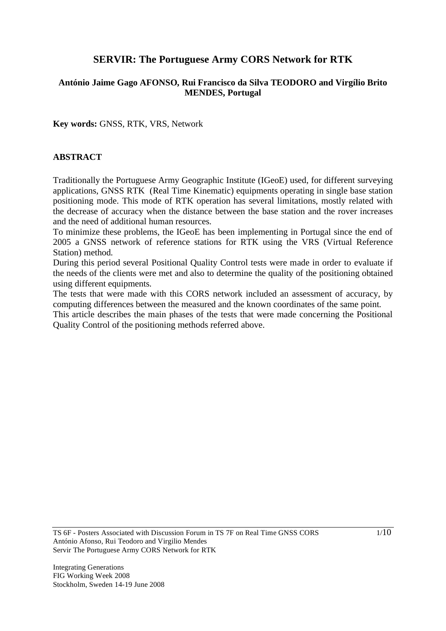# **SERVIR: The Portuguese Army CORS Network for RTK**

# **António Jaime Gago AFONSO, Rui Francisco da Silva TEODORO and Virgílio Brito MENDES, Portugal**

**Key words:** GNSS, RTK, VRS, Network

# **ABSTRACT**

Traditionally the Portuguese Army Geographic Institute (IGeoE) used, for different surveying applications, GNSS RTK (Real Time Kinematic) equipments operating in single base station positioning mode. This mode of RTK operation has several limitations, mostly related with the decrease of accuracy when the distance between the base station and the rover increases and the need of additional human resources.

To minimize these problems, the IGeoE has been implementing in Portugal since the end of 2005 a GNSS network of reference stations for RTK using the VRS (Virtual Reference Station) method.

During this period several Positional Quality Control tests were made in order to evaluate if the needs of the clients were met and also to determine the quality of the positioning obtained using different equipments.

The tests that were made with this CORS network included an assessment of accuracy, by computing differences between the measured and the known coordinates of the same point.

This article describes the main phases of the tests that were made concerning the Positional Quality Control of the positioning methods referred above.

TS 6F - Posters Associated with Discussion Forum in TS 7F on Real Time GNSS CORS António Afonso, Rui Teodoro and Virgilio Mendes Servir The Portuguese Army CORS Network for RTK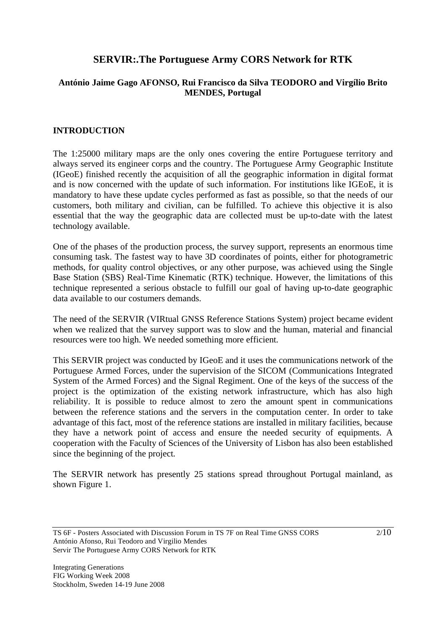# **SERVIR:.The Portuguese Army CORS Network for RTK**

# **António Jaime Gago AFONSO, Rui Francisco da Silva TEODORO and Virgílio Brito MENDES, Portugal**

# **INTRODUCTION**

The 1:25000 military maps are the only ones covering the entire Portuguese territory and always served its engineer corps and the country. The Portuguese Army Geographic Institute (IGeoE) finished recently the acquisition of all the geographic information in digital format and is now concerned with the update of such information. For institutions like IGEoE, it is mandatory to have these update cycles performed as fast as possible, so that the needs of our customers, both military and civilian, can be fulfilled. To achieve this objective it is also essential that the way the geographic data are collected must be up-to-date with the latest technology available.

One of the phases of the production process, the survey support, represents an enormous time consuming task. The fastest way to have 3D coordinates of points, either for photogrametric methods, for quality control objectives, or any other purpose, was achieved using the Single Base Station (SBS) Real-Time Kinematic (RTK) technique. However, the limitations of this technique represented a serious obstacle to fulfill our goal of having up-to-date geographic data available to our costumers demands.

The need of the SERVIR (VIRtual GNSS Reference Stations System) project became evident when we realized that the survey support was to slow and the human, material and financial resources were too high. We needed something more efficient.

This SERVIR project was conducted by IGeoE and it uses the communications network of the Portuguese Armed Forces, under the supervision of the SICOM (Communications Integrated System of the Armed Forces) and the Signal Regiment. One of the keys of the success of the project is the optimization of the existing network infrastructure, which has also high reliability. It is possible to reduce almost to zero the amount spent in communications between the reference stations and the servers in the computation center. In order to take advantage of this fact, most of the reference stations are installed in military facilities, because they have a network point of access and ensure the needed security of equipments. A cooperation with the Faculty of Sciences of the University of Lisbon has also been established since the beginning of the project.

The SERVIR network has presently 25 stations spread throughout Portugal mainland, as shown Figure 1.

TS 6F - Posters Associated with Discussion Forum in TS 7F on Real Time GNSS CORS António Afonso, Rui Teodoro and Virgilio Mendes Servir The Portuguese Army CORS Network for RTK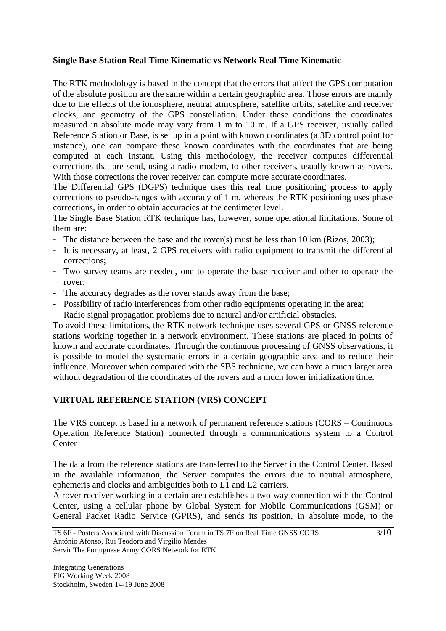### **Single Base Station Real Time Kinematic vs Network Real Time Kinematic**

The RTK methodology is based in the concept that the errors that affect the GPS computation of the absolute position are the same within a certain geographic area. Those errors are mainly due to the effects of the ionosphere, neutral atmosphere, satellite orbits, satellite and receiver clocks, and geometry of the GPS constellation. Under these conditions the coordinates measured in absolute mode may vary from 1 m to 10 m. If a GPS receiver, usually called Reference Station or Base, is set up in a point with known coordinates (a 3D control point for instance), one can compare these known coordinates with the coordinates that are being computed at each instant. Using this methodology, the receiver computes differential corrections that are send, using a radio modem, to other receivers, usually known as rovers. With those corrections the rover receiver can compute more accurate coordinates.

The Differential GPS (DGPS) technique uses this real time positioning process to apply corrections to pseudo-ranges with accuracy of 1 m, whereas the RTK positioning uses phase corrections, in order to obtain accuracies at the centimeter level.

The Single Base Station RTK technique has, however, some operational limitations. Some of them are:

- The distance between the base and the rover(s) must be less than 10 km (Rizos, 2003);
- It is necessary, at least, 2 GPS receivers with radio equipment to transmit the differential corrections;
- Two survey teams are needed, one to operate the base receiver and other to operate the rover;
- The accuracy degrades as the rover stands away from the base;
- Possibility of radio interferences from other radio equipments operating in the area;
- Radio signal propagation problems due to natural and/or artificial obstacles.

To avoid these limitations, the RTK network technique uses several GPS or GNSS reference stations working together in a network environment. These stations are placed in points of known and accurate coordinates. Through the continuous processing of GNSS observations, it is possible to model the systematic errors in a certain geographic area and to reduce their influence. Moreover when compared with the SBS technique, we can have a much larger area without degradation of the coordinates of the rovers and a much lower initialization time.

# **VIRTUAL REFERENCE STATION (VRS) CONCEPT**

The VRS concept is based in a network of permanent reference stations (CORS – Continuous Operation Reference Station) connected through a communications system to a Control **Center** 

The data from the reference stations are transferred to the Server in the Control Center. Based in the available information, the Server computes the errors due to neutral atmosphere, ephemeris and clocks and ambiguities both to L1 and L2 carriers.

A rover receiver working in a certain area establishes a two-way connection with the Control Center, using a cellular phone by Global System for Mobile Communications (GSM) or General Packet Radio Service (GPRS), and sends its position, in absolute mode, to the

.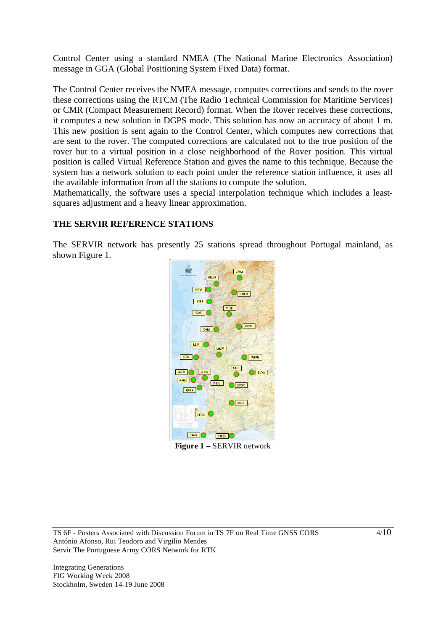Control Center using a standard NMEA (The National Marine Electronics Association) message in GGA (Global Positioning System Fixed Data) format.

The Control Center receives the NMEA message, computes corrections and sends to the rover these corrections using the RTCM (The Radio Technical Commission for Maritime Services) or CMR (Compact Measurement Record) format. When the Rover receives these corrections, it computes a new solution in DGPS mode. This solution has now an accuracy of about 1 m. This new position is sent again to the Control Center, which computes new corrections that are sent to the rover. The computed corrections are calculated not to the true position of the rover but to a virtual position in a close neighborhood of the Rover position. This virtual position is called Virtual Reference Station and gives the name to this technique. Because the system has a network solution to each point under the reference station influence, it uses all the available information from all the stations to compute the solution.

Mathematically, the software uses a special interpolation technique which includes a leastsquares adjustment and a heavy linear approximation.

### **THE SERVIR REFERENCE STATIONS**

The SERVIR network has presently 25 stations spread throughout Portugal mainland, as shown Figure 1.



**Figure 1** – SERVIR network

TS 6F - Posters Associated with Discussion Forum in TS 7F on Real Time GNSS CORS António Afonso, Rui Teodoro and Virgilio Mendes Servir The Portuguese Army CORS Network for RTK

Integrating Generations FIG Working Week 2008 Stockholm, Sweden 14-19 June 2008  $4/10$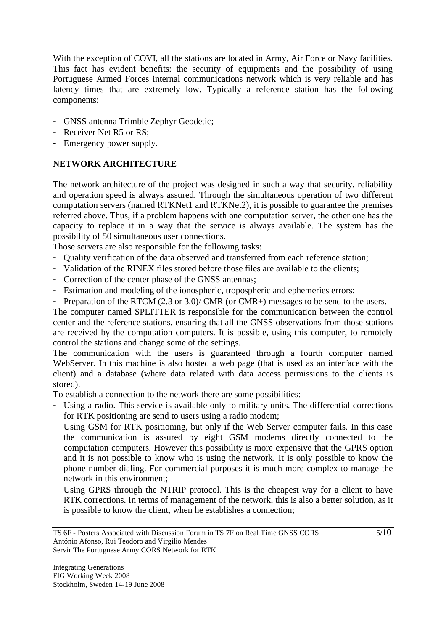With the exception of COVI, all the stations are located in Army, Air Force or Navy facilities. This fact has evident benefits: the security of equipments and the possibility of using Portuguese Armed Forces internal communications network which is very reliable and has latency times that are extremely low. Typically a reference station has the following components:

- GNSS antenna Trimble Zephyr Geodetic;
- Receiver Net R5 or RS:
- Emergency power supply.

# **NETWORK ARCHITECTURE**

The network architecture of the project was designed in such a way that security, reliability and operation speed is always assured. Through the simultaneous operation of two different computation servers (named RTKNet1 and RTKNet2), it is possible to guarantee the premises referred above. Thus, if a problem happens with one computation server, the other one has the capacity to replace it in a way that the service is always available. The system has the possibility of 50 simultaneous user connections.

Those servers are also responsible for the following tasks:

- Quality verification of the data observed and transferred from each reference station;
- Validation of the RINEX files stored before those files are available to the clients;
- Correction of the center phase of the GNSS antennas;
- Estimation and modeling of the ionospheric, tropospheric and ephemeries errors;
- Preparation of the RTCM (2.3 or 3.0)/ CMR (or CMR+) messages to be send to the users.

The computer named SPLITTER is responsible for the communication between the control center and the reference stations, ensuring that all the GNSS observations from those stations are received by the computation computers. It is possible, using this computer, to remotely control the stations and change some of the settings.

The communication with the users is guaranteed through a fourth computer named WebServer. In this machine is also hosted a web page (that is used as an interface with the client) and a database (where data related with data access permissions to the clients is stored).

To establish a connection to the network there are some possibilities:

- Using a radio. This service is available only to military units. The differential corrections for RTK positioning are send to users using a radio modem;
- Using GSM for RTK positioning, but only if the Web Server computer fails. In this case the communication is assured by eight GSM modems directly connected to the computation computers. However this possibility is more expensive that the GPRS option and it is not possible to know who is using the network. It is only possible to know the phone number dialing. For commercial purposes it is much more complex to manage the network in this environment;
- Using GPRS through the NTRIP protocol. This is the cheapest way for a client to have RTK corrections. In terms of management of the network, this is also a better solution, as it is possible to know the client, when he establishes a connection;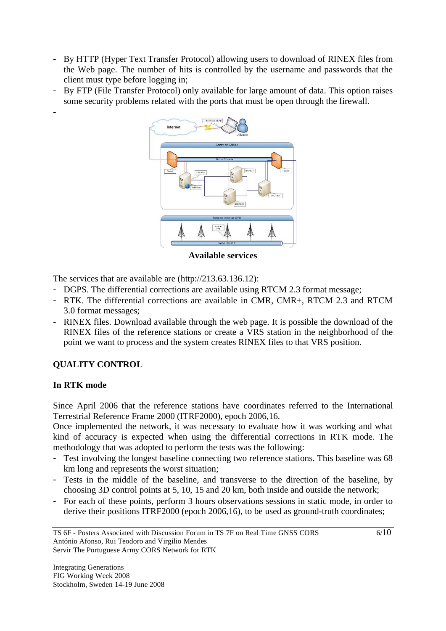- By HTTP (Hyper Text Transfer Protocol) allowing users to download of RINEX files from the Web page. The number of hits is controlled by the username and passwords that the client must type before logging in;
- By FTP (File Transfer Protocol) only available for large amount of data. This option raises some security problems related with the ports that must be open through the firewall.



**Available services** 

The services that are available are (http://213.63.136.12):

- DGPS. The differential corrections are available using RTCM 2.3 format message;
- RTK. The differential corrections are available in CMR, CMR+, RTCM 2.3 and RTCM 3.0 format messages;
- RINEX files. Download available through the web page. It is possible the download of the RINEX files of the reference stations or create a VRS station in the neighborhood of the point we want to process and the system creates RINEX files to that VRS position.

# **QUALITY CONTROL**

# **In RTK mode**

-

Since April 2006 that the reference stations have coordinates referred to the International Terrestrial Reference Frame 2000 (ITRF2000), epoch 2006,16.

Once implemented the network, it was necessary to evaluate how it was working and what kind of accuracy is expected when using the differential corrections in RTK mode. The methodology that was adopted to perform the tests was the following:

- Test involving the longest baseline connecting two reference stations. This baseline was 68 km long and represents the worst situation;
- Tests in the middle of the baseline, and transverse to the direction of the baseline, by choosing 3D control points at 5, 10, 15 and 20 km, both inside and outside the network;
- For each of these points, perform 3 hours observations sessions in static mode, in order to derive their positions ITRF2000 (epoch 2006,16), to be used as ground-truth coordinates;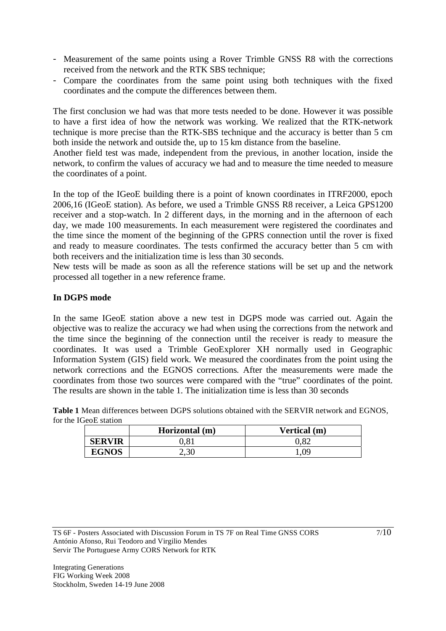- Measurement of the same points using a Rover Trimble GNSS R8 with the corrections received from the network and the RTK SBS technique;
- Compare the coordinates from the same point using both techniques with the fixed coordinates and the compute the differences between them.

The first conclusion we had was that more tests needed to be done. However it was possible to have a first idea of how the network was working. We realized that the RTK-network technique is more precise than the RTK-SBS technique and the accuracy is better than 5 cm both inside the network and outside the, up to 15 km distance from the baseline.

Another field test was made, independent from the previous, in another location, inside the network, to confirm the values of accuracy we had and to measure the time needed to measure the coordinates of a point.

In the top of the IGeoE building there is a point of known coordinates in ITRF2000, epoch 2006,16 (IGeoE station). As before, we used a Trimble GNSS R8 receiver, a Leica GPS1200 receiver and a stop-watch. In 2 different days, in the morning and in the afternoon of each day, we made 100 measurements. In each measurement were registered the coordinates and the time since the moment of the beginning of the GPRS connection until the rover is fixed and ready to measure coordinates. The tests confirmed the accuracy better than 5 cm with both receivers and the initialization time is less than 30 seconds.

New tests will be made as soon as all the reference stations will be set up and the network processed all together in a new reference frame.

# **In DGPS mode**

In the same IGeoE station above a new test in DGPS mode was carried out. Again the objective was to realize the accuracy we had when using the corrections from the network and the time since the beginning of the connection until the receiver is ready to measure the coordinates. It was used a Trimble GeoExplorer XH normally used in Geographic Information System (GIS) field work. We measured the coordinates from the point using the network corrections and the EGNOS corrections. After the measurements were made the coordinates from those two sources were compared with the "true" coordinates of the point. The results are shown in the table 1. The initialization time is less than 30 seconds

**Table 1** Mean differences between DGPS solutions obtained with the SERVIR network and EGNOS, for the IGeoE station

|               | Horizontal (m) | Vertical (m) |  |
|---------------|----------------|--------------|--|
| <b>SERVIR</b> | $\rm 0.81$     | 0.82         |  |
| <b>EGNOS</b>  | 2,30           | .09          |  |

TS 6F - Posters Associated with Discussion Forum in TS 7F on Real Time GNSS CORS António Afonso, Rui Teodoro and Virgilio Mendes Servir The Portuguese Army CORS Network for RTK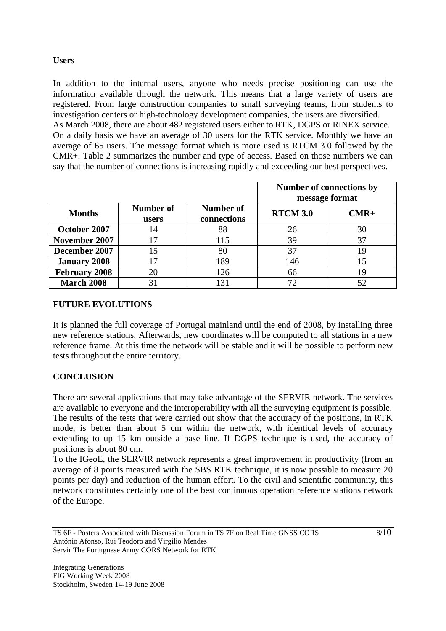## **Users**

In addition to the internal users, anyone who needs precise positioning can use the information available through the network. This means that a large variety of users are registered. From large construction companies to small surveying teams, from students to investigation centers or high-technology development companies, the users are diversified. As March 2008, there are about 482 registered users either to RTK, DGPS or RINEX service. On a daily basis we have an average of 30 users for the RTK service. Monthly we have an average of 65 users. The message format which is more used is RTCM 3.0 followed by the CMR+. Table 2 summarizes the number and type of access. Based on those numbers we can say that the number of connections is increasing rapidly and exceeding our best perspectives.

|                      |                    |                          | Number of connections by<br>message format |        |
|----------------------|--------------------|--------------------------|--------------------------------------------|--------|
| <b>Months</b>        | Number of<br>users | Number of<br>connections | <b>RTCM 3.0</b>                            | $CMR+$ |
| October 2007         | 14                 | 88                       | 26                                         | 30     |
| November 2007        | 17                 | 115                      | 39                                         | 37     |
| December 2007        | 15                 | 80                       | 37                                         | 19     |
| <b>January 2008</b>  | 17                 | 189                      | 146                                        |        |
| <b>February 2008</b> | 20                 | 126                      | 66                                         | 19     |
| <b>March 2008</b>    | 31                 |                          | 72                                         |        |

### **FUTURE EVOLUTIONS**

It is planned the full coverage of Portugal mainland until the end of 2008, by installing three new reference stations. Afterwards, new coordinates will be computed to all stations in a new reference frame. At this time the network will be stable and it will be possible to perform new tests throughout the entire territory.

# **CONCLUSION**

There are several applications that may take advantage of the SERVIR network. The services are available to everyone and the interoperability with all the surveying equipment is possible. The results of the tests that were carried out show that the accuracy of the positions, in RTK mode, is better than about 5 cm within the network, with identical levels of accuracy extending to up 15 km outside a base line. If DGPS technique is used, the accuracy of positions is about 80 cm.

To the IGeoE, the SERVIR network represents a great improvement in productivity (from an average of 8 points measured with the SBS RTK technique, it is now possible to measure 20 points per day) and reduction of the human effort. To the civil and scientific community, this network constitutes certainly one of the best continuous operation reference stations network of the Europe.

TS 6F - Posters Associated with Discussion Forum in TS 7F on Real Time GNSS CORS António Afonso, Rui Teodoro and Virgilio Mendes Servir The Portuguese Army CORS Network for RTK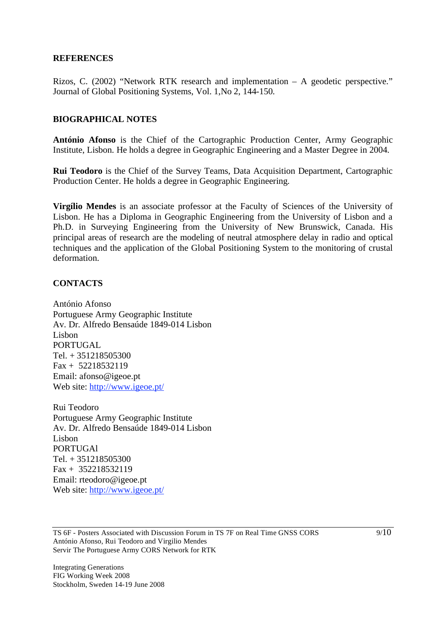#### **REFERENCES**

Rizos, C. (2002) "Network RTK research and implementation – A geodetic perspective." Journal of Global Positioning Systems, Vol. 1,No 2, 144-150.

### **BIOGRAPHICAL NOTES**

**António Afonso** is the Chief of the Cartographic Production Center, Army Geographic Institute, Lisbon. He holds a degree in Geographic Engineering and a Master Degree in 2004.

**Rui Teodoro** is the Chief of the Survey Teams, Data Acquisition Department, Cartographic Production Center. He holds a degree in Geographic Engineering.

**Virgílio Mendes** is an associate professor at the Faculty of Sciences of the University of Lisbon. He has a Diploma in Geographic Engineering from the University of Lisbon and a Ph.D. in Surveying Engineering from the University of New Brunswick, Canada. His principal areas of research are the modeling of neutral atmosphere delay in radio and optical techniques and the application of the Global Positioning System to the monitoring of crustal deformation.

### **CONTACTS**

António Afonso Portuguese Army Geographic Institute Av. Dr. Alfredo Bensaúde 1849-014 Lisbon Lisbon PORTUGAL Tel. + 351218505300 Fax + 52218532119 Email: afonso@igeoe.pt Web site: http://www.igeoe.pt/

Rui Teodoro Portuguese Army Geographic Institute Av. Dr. Alfredo Bensaúde 1849-014 Lisbon Lisbon PORTUGAl Tel. + 351218505300 Fax + 352218532119 Email: rteodoro@igeoe.pt Web site: http://www.igeoe.pt/

TS 6F - Posters Associated with Discussion Forum in TS 7F on Real Time GNSS CORS António Afonso, Rui Teodoro and Virgilio Mendes Servir The Portuguese Army CORS Network for RTK

Integrating Generations FIG Working Week 2008 Stockholm, Sweden 14-19 June 2008